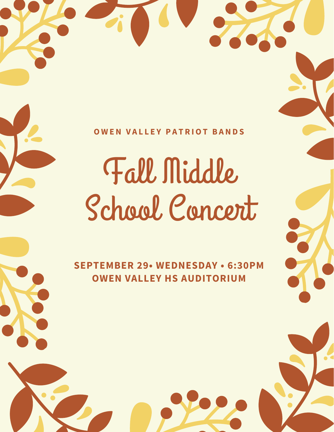#### **O W E N V A L L E Y P A T R IOT B A N D S**

# Fall Middle School Concert

**SEPTEMBER 29• WEDNESDAY • 6:30PM OWEN VALLEY HS AUDITORIUM**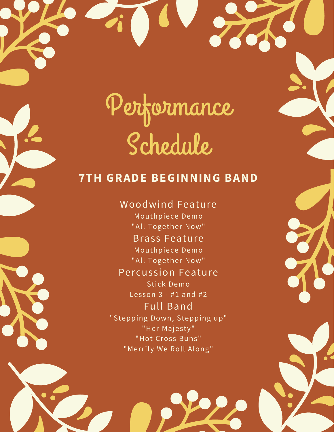## Performance Schedule

#### **7TH GRADE BEGINNING BAND**

Woodwind Feature Mouthpiece Demo "All Together Now" Brass Feature Mouthpiece Demo "All Together Now" Percussion Feature Stick Demo Lesson 3 - #1 and #2 Full Band "Stepping Down, Stepping up" "Her Majesty" "Hot Cross Buns" "Merrily We Roll Along"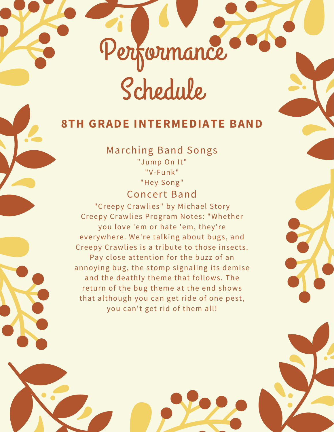Schedule

Performance

#### **8TH GRADE INTERMEDIATE BAND**

Marching Band Songs "Jump On It" "V-Funk" "Hey Song"

#### Concert Band

"Creepy Crawlies" by Michael Story Creepy Crawlies Program Notes: "Whether you love 'em or hate 'em, they're everywhere. We're talking about bugs, and Creepy Crawlies is a tribute to those insects. Pay close attention for the buzz of an annoying bug, the stomp signaling its demise and the deathly theme that follows. The return of the bug theme at the end shows that although you can get ride of one pest, you can't get rid of them all!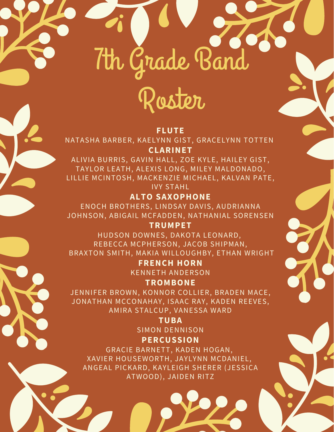# 7th Grade Band

## Roster

#### **FLUTE**

NATASHA BARBER, KAELYNN GIST, GRACELYNN TOTTEN **CLARINET**

ALIVIA BURRIS, GAVIN HALL, ZOE KYLE, HAILEY GIST, TAYLOR LEATH, ALEXIS LONG, MILEY MALDONADO, LILLIE MCINTOSH, MACKENZIE MICHAEL, KALVAN PATE,

IVY STAHL

**ALTO SAXOPHONE** ENOCH BROTHERS, LINDSAY DAVIS, AUDRIANNA

JOHNSON, ABIGAIL MCFADDEN, NATHANIAL SORENSEN

**TRUMPET**

HUDSON DOWNES, DAKOTA LEONARD, REBECCA MCPHERSON, JACOB SHIPMAN, BRAXTON SMITH, MAKIA WILLOUGHBY, ETHAN WRIGHT

> **FRENCH HORN** KENNETH ANDERSON

**TROMBONE** JENNIFER BROWN, KONNOR COLLIER, BRADEN MACE,

JONATHAN MCCONAHAY, ISAAC RAY, KADEN REEVES, AMIRA STALCUP, VANESSA WARD

> **TUBA** SIMON DENNISON

**PERCUSSION**

GRACIE BARNETT, KADEN HOGAN, XAVIER HOUSEWORTH, JAYLYNN MCDANIEL, ANGEAL PICKARD, KAYLEIGH SHERER (JESSICA ATWOOD), JAIDEN RITZ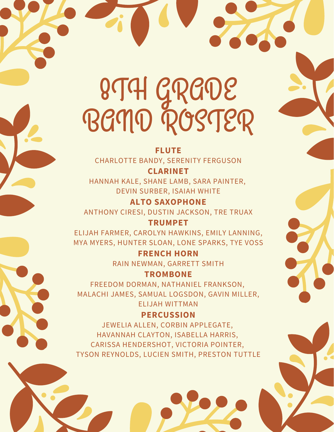## 8TH GRADE BAND ROSTER

**FLUTE** CHARLOTTE BANDY, SERENITY FERGUSON

**CLARINET** HANNAH KALE, SHANE LAMB, SARA PAINTER, DEVIN SURBER, ISAIAH WHITE

**ALTO SAXOPHONE** ANTHONY CIRESI, DUSTIN JACKSON, TRE TRUAX

**TRUMPET** ELIJAH FARMER, CAROLYN HAWKINS, EMILY LANNING, MYA MYERS, HUNTER SLOAN, LONE SPARKS, TYE VOSS

> **FRENCH HORN** RAIN NEWMAN, GARRETT SMITH

**TROMBONE** FREEDOM DORMAN, NATHANIEL FRANKSON, MALACHI JAMES, SAMUAL LOGSDON, GAVIN MILLER, ELIJAH WITTMAN

**PERCUSSION** JEWELIA ALLEN, CORBIN APPLEGATE, HAVANNAH CLAYTON, ISABELLA HARRIS, CARISSA HENDERSHOT, VICTORIA POINTER, TYSON REYNOLDS, LUCIEN SMITH, PRESTON TUTTLE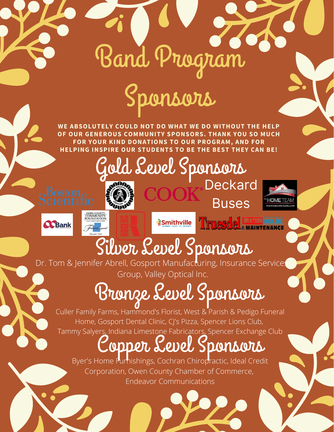# Band Program

## Sponsors

**WE ABSOLUTELY COULD NOT DO WHAT WE DO WITHOUT THE HELP OF OUR GENEROUS COMMUNITY SPONSORS. THANK YOU SO MUCH FOR YOUR KIND DONATIONS TO OUR PROGRAM, AND FOR HELPING INSPIRE OUR STUDENTS TO BE THE BEST THEY CAN BE!**

> Gold Level Sponsors **Deckard**













*Smithville* 



**Buses** 

## Silver Level Sponsors

Dr. Tom & Jennifer Abrell, Gosport Manufacturing, Insurance Services Group, Valley Optical Inc.

## Bronze Level Sponsors

Culler Family Farms, Hammond's Florist, West & Parish & Pedigo Funeral Home, Gosport Dental Clinic, CJ's Pizza, Spencer Lions Club, Tammy Salyers, Indiana Limestone Fabricators, Spencer Exchange Club

### Copper Level Sponsors

Byer's Home Furnishings, Cochran Chiropractic, Ideal Credit Corporation, Owen County Chamber of Commerce, Endeavor Communications